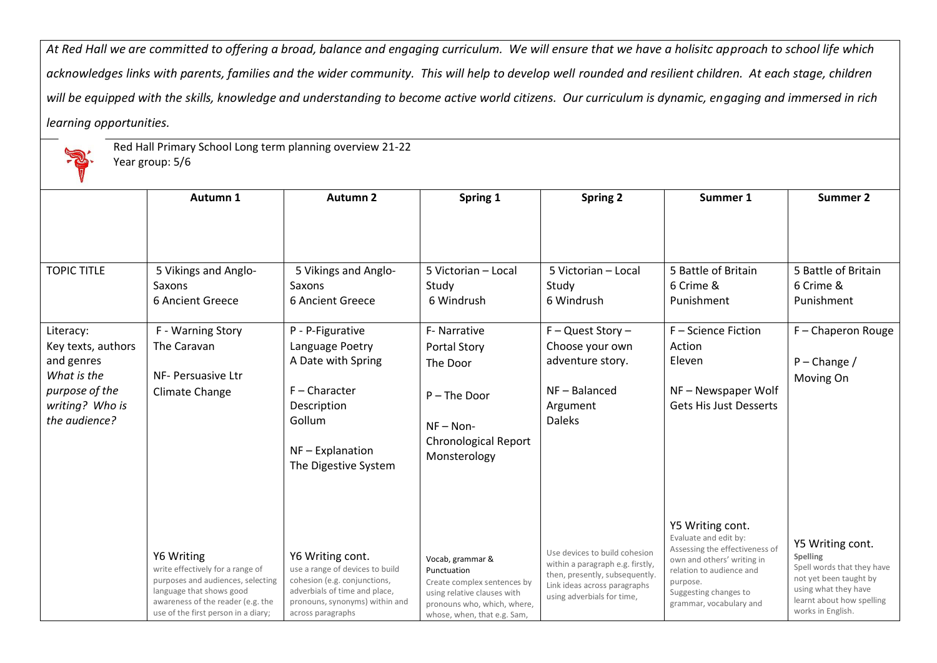*At Red Hall we are committed to offering a broad, balance and engaging curriculum. We will ensure that we have a holisitc approach to school life which*  acknowledges links with parents, families and the wider community. This will help to develop well rounded and resilient children. At each stage, children *will be equipped with the skills, knowledge and understanding to become active world citizens. Our curriculum is dynamic, engaging and immersed in rich learning opportunities.*



Red Hall Primary School Long term planning overview 21-22

Year group: 5/6

|                                                                                                                    | Autumn 1                                                                                                                                                                                    | <b>Autumn 2</b>                                                                                                                                                             | Spring 1                                                                                                                                                    | <b>Spring 2</b>                                                                                                                                                   | Summer 1                                                                                                                                                                                              | <b>Summer 2</b>                                                                                                                                                       |
|--------------------------------------------------------------------------------------------------------------------|---------------------------------------------------------------------------------------------------------------------------------------------------------------------------------------------|-----------------------------------------------------------------------------------------------------------------------------------------------------------------------------|-------------------------------------------------------------------------------------------------------------------------------------------------------------|-------------------------------------------------------------------------------------------------------------------------------------------------------------------|-------------------------------------------------------------------------------------------------------------------------------------------------------------------------------------------------------|-----------------------------------------------------------------------------------------------------------------------------------------------------------------------|
| <b>TOPIC TITLE</b>                                                                                                 | 5 Vikings and Anglo-<br>Saxons                                                                                                                                                              | 5 Vikings and Anglo-<br>Saxons                                                                                                                                              | 5 Victorian - Local<br>Study                                                                                                                                | 5 Victorian - Local<br>Study                                                                                                                                      | 5 Battle of Britain<br>6 Crime &                                                                                                                                                                      | 5 Battle of Britain<br>6 Crime &                                                                                                                                      |
|                                                                                                                    | 6 Ancient Greece                                                                                                                                                                            | 6 Ancient Greece                                                                                                                                                            | 6 Windrush                                                                                                                                                  | 6 Windrush                                                                                                                                                        | Punishment                                                                                                                                                                                            | Punishment                                                                                                                                                            |
| Literacy:<br>Key texts, authors<br>and genres<br>What is the<br>purpose of the<br>writing? Who is<br>the audience? | F - Warning Story<br>The Caravan<br>NF- Persuasive Ltr<br>Climate Change                                                                                                                    | P - P-Figurative<br>Language Poetry<br>A Date with Spring<br>F-Character<br>Description<br>Gollum<br>$NF -$ Explanation<br>The Digestive System                             | F- Narrative<br><b>Portal Story</b><br>The Door<br>P-The Door<br>$NF - Non-$<br><b>Chronological Report</b><br>Monsterology                                 | $F - Quest Story -$<br>Choose your own<br>adventure story.<br>$NF - Balance$<br>Argument<br><b>Daleks</b>                                                         | F - Science Fiction<br>Action<br>Eleven<br>NF-Newspaper Wolf<br><b>Gets His Just Desserts</b>                                                                                                         | F-Chaperon Rouge<br>$P$ – Change /<br>Moving On                                                                                                                       |
|                                                                                                                    | Y6 Writing<br>write effectively for a range of<br>purposes and audiences, selecting<br>language that shows good<br>awareness of the reader (e.g. the<br>use of the first person in a diary; | Y6 Writing cont.<br>use a range of devices to build<br>cohesion (e.g. conjunctions,<br>adverbials of time and place,<br>pronouns, synonyms) within and<br>across paragraphs | Vocab, grammar &<br>Punctuation<br>Create complex sentences by<br>using relative clauses with<br>pronouns who, which, where,<br>whose, when, that e.g. Sam, | Use devices to build cohesion<br>within a paragraph e.g. firstly,<br>then, presently, subsequently.<br>Link ideas across paragraphs<br>using adverbials for time, | Y5 Writing cont.<br>Evaluate and edit by:<br>Assessing the effectiveness of<br>own and others' writing in<br>relation to audience and<br>purpose.<br>Suggesting changes to<br>grammar, vocabulary and | Y5 Writing cont.<br><b>Spelling</b><br>Spell words that they have<br>not yet been taught by<br>using what they have<br>learnt about how spelling<br>works in English. |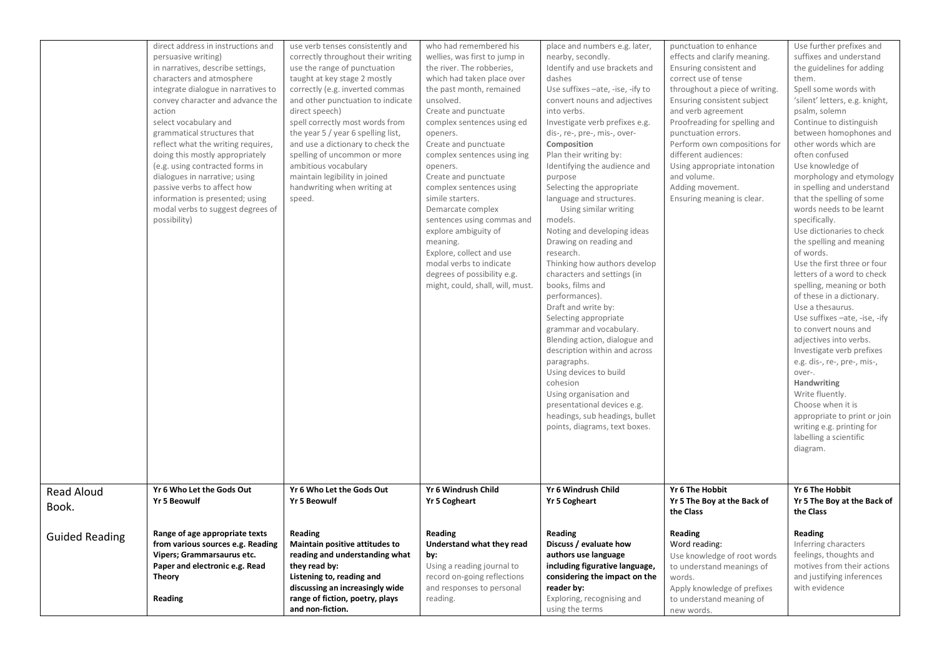|                            | direct address in instructions and<br>persuasive writing)<br>in narratives, describe settings,<br>characters and atmosphere<br>integrate dialogue in narratives to<br>convey character and advance the<br>action<br>select vocabulary and<br>grammatical structures that<br>reflect what the writing requires,<br>doing this mostly appropriately<br>(e.g. using contracted forms in<br>dialogues in narrative; using<br>passive verbs to affect how<br>information is presented; using<br>modal verbs to suggest degrees of<br>possibility) | use verb tenses consistently and<br>correctly throughout their writing<br>use the range of punctuation<br>taught at key stage 2 mostly<br>correctly (e.g. inverted commas<br>and other punctuation to indicate<br>direct speech)<br>spell correctly most words from<br>the year 5 / year 6 spelling list,<br>and use a dictionary to check the<br>spelling of uncommon or more<br>ambitious vocabulary<br>maintain legibility in joined<br>handwriting when writing at<br>speed. | who had remembered his<br>wellies, was first to jump in<br>the river. The robberies,<br>which had taken place over<br>the past month, remained<br>unsolved.<br>Create and punctuate<br>complex sentences using ed<br>openers.<br>Create and punctuate<br>complex sentences using ing<br>openers.<br>Create and punctuate<br>complex sentences using<br>simile starters.<br>Demarcate complex<br>sentences using commas and<br>explore ambiguity of<br>meaning.<br>Explore, collect and use<br>modal verbs to indicate<br>degrees of possibility e.g.<br>might, could, shall, will, must. | place and numbers e.g. later,<br>nearby, secondly.<br>Identify and use brackets and<br>dashes<br>Use suffixes -ate, -ise, -ify to<br>convert nouns and adjectives<br>into verbs.<br>Investigate verb prefixes e.g.<br>dis-, re-, pre-, mis-, over-<br>Composition<br>Plan their writing by:<br>Identifying the audience and<br>purpose<br>Selecting the appropriate<br>language and structures.<br>Using similar writing<br>models.<br>Noting and developing ideas<br>Drawing on reading and<br>research.<br>Thinking how authors develop<br>characters and settings (in<br>books, films and<br>performances).<br>Draft and write by:<br>Selecting appropriate<br>grammar and vocabulary.<br>Blending action, dialogue and<br>description within and across<br>paragraphs.<br>Using devices to build<br>cohesion<br>Using organisation and<br>presentational devices e.g.<br>headings, sub headings, bullet<br>points, diagrams, text boxes. | punctuation to enhance<br>effects and clarify meaning.<br>Ensuring consistent and<br>correct use of tense<br>throughout a piece of writing.<br>Ensuring consistent subject<br>and verb agreement<br>Proofreading for spelling and<br>punctuation errors.<br>Perform own compositions for<br>different audiences:<br>Using appropriate intonation<br>and volume.<br>Adding movement.<br>Ensuring meaning is clear. | Use further prefixes and<br>suffixes and understand<br>the guidelines for adding<br>them.<br>Spell some words with<br>'silent' letters, e.g. knight,<br>psalm, solemn<br>Continue to distinguish<br>between homophones and<br>other words which are<br>often confused<br>Use knowledge of<br>morphology and etymology<br>in spelling and understand<br>that the spelling of some<br>words needs to be learnt<br>specifically.<br>Use dictionaries to check<br>the spelling and meaning<br>of words.<br>Use the first three or four<br>letters of a word to check<br>spelling, meaning or both<br>of these in a dictionary.<br>Use a thesaurus.<br>Use suffixes -ate, -ise, -ify<br>to convert nouns and<br>adjectives into verbs.<br>Investigate verb prefixes<br>e.g. dis-, re-, pre-, mis-,<br>over-.<br>Handwriting<br>Write fluently.<br>Choose when it is<br>appropriate to print or join<br>writing e.g. printing for<br>labelling a scientific<br>diagram. |
|----------------------------|----------------------------------------------------------------------------------------------------------------------------------------------------------------------------------------------------------------------------------------------------------------------------------------------------------------------------------------------------------------------------------------------------------------------------------------------------------------------------------------------------------------------------------------------|----------------------------------------------------------------------------------------------------------------------------------------------------------------------------------------------------------------------------------------------------------------------------------------------------------------------------------------------------------------------------------------------------------------------------------------------------------------------------------|------------------------------------------------------------------------------------------------------------------------------------------------------------------------------------------------------------------------------------------------------------------------------------------------------------------------------------------------------------------------------------------------------------------------------------------------------------------------------------------------------------------------------------------------------------------------------------------|----------------------------------------------------------------------------------------------------------------------------------------------------------------------------------------------------------------------------------------------------------------------------------------------------------------------------------------------------------------------------------------------------------------------------------------------------------------------------------------------------------------------------------------------------------------------------------------------------------------------------------------------------------------------------------------------------------------------------------------------------------------------------------------------------------------------------------------------------------------------------------------------------------------------------------------------|-------------------------------------------------------------------------------------------------------------------------------------------------------------------------------------------------------------------------------------------------------------------------------------------------------------------------------------------------------------------------------------------------------------------|-------------------------------------------------------------------------------------------------------------------------------------------------------------------------------------------------------------------------------------------------------------------------------------------------------------------------------------------------------------------------------------------------------------------------------------------------------------------------------------------------------------------------------------------------------------------------------------------------------------------------------------------------------------------------------------------------------------------------------------------------------------------------------------------------------------------------------------------------------------------------------------------------------------------------------------------------------------------|
| <b>Read Aloud</b><br>Book. | Yr 6 Who Let the Gods Out<br><b>Yr 5 Beowulf</b>                                                                                                                                                                                                                                                                                                                                                                                                                                                                                             | Yr 6 Who Let the Gods Out<br><b>Yr 5 Beowulf</b>                                                                                                                                                                                                                                                                                                                                                                                                                                 | Yr 6 Windrush Child<br><b>Yr 5 Cogheart</b>                                                                                                                                                                                                                                                                                                                                                                                                                                                                                                                                              | Yr 6 Windrush Child<br><b>Yr 5 Cogheart</b>                                                                                                                                                                                                                                                                                                                                                                                                                                                                                                                                                                                                                                                                                                                                                                                                                                                                                                  | Yr 6 The Hobbit<br>Yr 5 The Boy at the Back of<br>the Class                                                                                                                                                                                                                                                                                                                                                       | Yr 6 The Hobbit<br>Yr 5 The Boy at the Back of<br>the Class                                                                                                                                                                                                                                                                                                                                                                                                                                                                                                                                                                                                                                                                                                                                                                                                                                                                                                       |
| <b>Guided Reading</b>      | Range of age appropriate texts<br>from various sources e.g. Reading<br>Vipers; Grammarsaurus etc.<br>Paper and electronic e.g. Read<br><b>Theory</b><br>Reading                                                                                                                                                                                                                                                                                                                                                                              | Reading<br>Maintain positive attitudes to<br>reading and understanding what<br>they read by:<br>Listening to, reading and<br>discussing an increasingly wide<br>range of fiction, poetry, plays<br>and non-fiction.                                                                                                                                                                                                                                                              | Reading<br>Understand what they read<br>by:<br>Using a reading journal to<br>record on-going reflections<br>and responses to personal<br>reading.                                                                                                                                                                                                                                                                                                                                                                                                                                        | Reading<br>Discuss / evaluate how<br>authors use language<br>including figurative language,<br>considering the impact on the<br>reader by:<br>Exploring, recognising and<br>using the terms                                                                                                                                                                                                                                                                                                                                                                                                                                                                                                                                                                                                                                                                                                                                                  | Reading<br>Word reading:<br>Use knowledge of root words<br>to understand meanings of<br>words.<br>Apply knowledge of prefixes<br>to understand meaning of<br>new words.                                                                                                                                                                                                                                           | Reading<br>Inferring characters<br>feelings, thoughts and<br>motives from their actions<br>and justifying inferences<br>with evidence                                                                                                                                                                                                                                                                                                                                                                                                                                                                                                                                                                                                                                                                                                                                                                                                                             |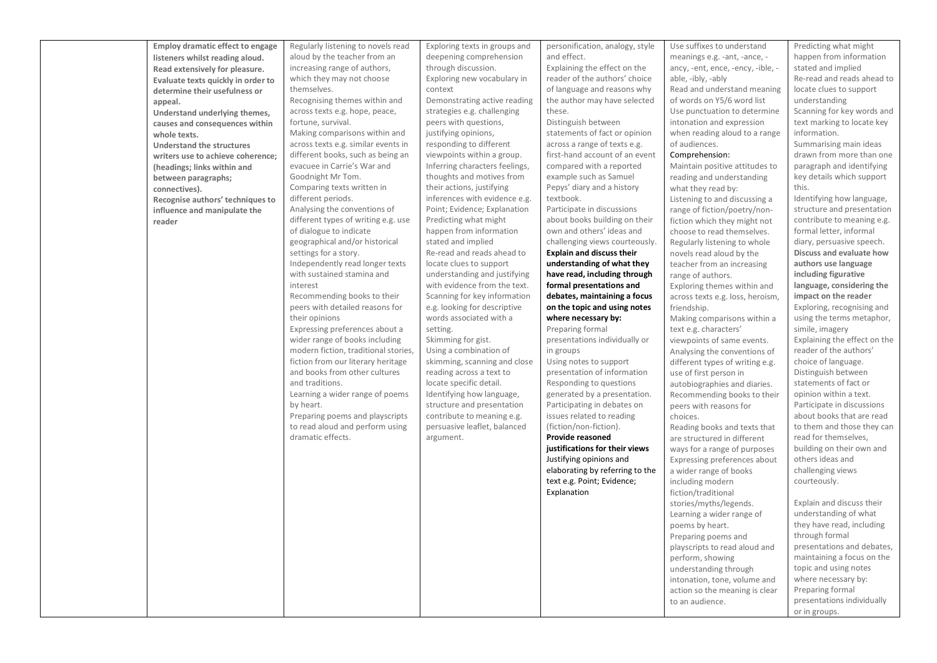| <b>Employ dramatic effect to engage</b> | Regularly listening to novels read   | Exploring texts in groups and  | personification, analogy, style  | Use suffixes to understand        | Predicting what might        |
|-----------------------------------------|--------------------------------------|--------------------------------|----------------------------------|-----------------------------------|------------------------------|
| listeners whilst reading aloud.         | aloud by the teacher from an         | deepening comprehension        | and effect.                      | meanings e.g. -ant, -ance, -      | happen from information      |
| Read extensively for pleasure.          | increasing range of authors,         | through discussion.            | Explaining the effect on the     | ancy, -ent, ence, -ency, -ible, - | stated and implied           |
|                                         | which they may not choose            | Exploring new vocabulary in    | reader of the authors' choice    | able, -ibly, -ably                | Re-read and reads ahead to   |
| Evaluate texts quickly in order to      | themselves.                          | context                        | of language and reasons why      | Read and understand meaning       | locate clues to support      |
| determine their usefulness or           | Recognising themes within and        | Demonstrating active reading   | the author may have selected     | of words on Y5/6 word list        | understanding                |
| appeal.                                 |                                      |                                | these.                           |                                   |                              |
| Understand underlying themes,           | across texts e.g. hope, peace,       | strategies e.g. challenging    |                                  | Use punctuation to determine      | Scanning for key words and   |
| causes and consequences within          | fortune, survival.                   | peers with questions,          | Distinguish between              | intonation and expression         | text marking to locate key   |
| whole texts.                            | Making comparisons within and        | justifying opinions,           | statements of fact or opinion    | when reading aloud to a range     | information.                 |
| <b>Understand the structures</b>        | across texts e.g. similar events in  | responding to different        | across a range of texts e.g.     | of audiences.                     | Summarising main ideas       |
| writers use to achieve coherence;       | different books, such as being an    | viewpoints within a group.     | first-hand account of an event   | Comprehension:                    | drawn from more than one     |
| (headings; links within and             | evacuee in Carrie's War and          | Inferring characters feelings, | compared with a reported         | Maintain positive attitudes to    | paragraph and identifying    |
| between paragraphs;                     | Goodnight Mr Tom.                    | thoughts and motives from      | example such as Samuel           | reading and understanding         | key details which support    |
| connectives).                           | Comparing texts written in           | their actions, justifying      | Pepys' diary and a history       | what they read by:                | this.                        |
| Recognise authors' techniques to        | different periods.                   | inferences with evidence e.g.  | textbook.                        | Listening to and discussing a     | Identifying how language,    |
| influence and manipulate the            | Analysing the conventions of         | Point; Evidence; Explanation   | Participate in discussions       | range of fiction/poetry/non-      | structure and presentation   |
| reader                                  | different types of writing e.g. use  | Predicting what might          | about books building on their    | fiction which they might not      | contribute to meaning e.g.   |
|                                         | of dialogue to indicate              | happen from information        | own and others' ideas and        | choose to read themselves.        | formal letter, informal      |
|                                         | geographical and/or historical       | stated and implied             | challenging views courteously.   | Regularly listening to whole      | diary, persuasive speech.    |
|                                         | settings for a story.                | Re-read and reads ahead to     | <b>Explain and discuss their</b> | novels read aloud by the          | Discuss and evaluate how     |
|                                         | Independently read longer texts      | locate clues to support        | understanding of what they       | teacher from an increasing        | authors use language         |
|                                         | with sustained stamina and           | understanding and justifying   | have read, including through     | range of authors.                 | including figurative         |
|                                         | interest                             | with evidence from the text.   | formal presentations and         | Exploring themes within and       | language, considering the    |
|                                         | Recommending books to their          | Scanning for key information   | debates, maintaining a focus     | across texts e.g. loss, heroism,  | impact on the reader         |
|                                         | peers with detailed reasons for      | e.g. looking for descriptive   | on the topic and using notes     | friendship.                       | Exploring, recognising and   |
|                                         | their opinions                       | words associated with a        | where necessary by:              | Making comparisons within a       | using the terms metaphor,    |
|                                         | Expressing preferences about a       | setting.                       | Preparing formal                 | text e.g. characters'             | simile, imagery              |
|                                         | wider range of books including       | Skimming for gist.             | presentations individually or    | viewpoints of same events.        | Explaining the effect on the |
|                                         | modern fiction, traditional stories, | Using a combination of         | in groups                        | Analysing the conventions of      | reader of the authors'       |
|                                         | fiction from our literary heritage   | skimming, scanning and close   | Using notes to support           | different types of writing e.g.   | choice of language.          |
|                                         | and books from other cultures        | reading across a text to       | presentation of information      | use of first person in            | Distinguish between          |
|                                         | and traditions.                      | locate specific detail.        | Responding to questions          | autobiographies and diaries.      | statements of fact or        |
|                                         | Learning a wider range of poems      | Identifying how language,      | generated by a presentation.     | Recommending books to their       | opinion within a text.       |
|                                         | by heart.                            | structure and presentation     | Participating in debates on      | peers with reasons for            | Participate in discussions   |
|                                         | Preparing poems and playscripts      | contribute to meaning e.g.     | issues related to reading        | choices.                          | about books that are read    |
|                                         | to read aloud and perform using      | persuasive leaflet, balanced   | (fiction/non-fiction).           | Reading books and texts that      | to them and those they can   |
|                                         | dramatic effects.                    | argument.                      | Provide reasoned                 | are structured in different       | read for themselves,         |
|                                         |                                      |                                | justifications for their views   | ways for a range of purposes      | building on their own and    |
|                                         |                                      |                                | Justifying opinions and          | Expressing preferences about      | others ideas and             |
|                                         |                                      |                                | elaborating by referring to the  | a wider range of books            | challenging views            |
|                                         |                                      |                                | text e.g. Point; Evidence;       | including modern                  | courteously.                 |
|                                         |                                      |                                | Explanation                      | fiction/traditional               |                              |
|                                         |                                      |                                |                                  | stories/myths/legends.            | Explain and discuss their    |
|                                         |                                      |                                |                                  | Learning a wider range of         | understanding of what        |
|                                         |                                      |                                |                                  | poems by heart.                   | they have read, including    |
|                                         |                                      |                                |                                  | Preparing poems and               | through formal               |
|                                         |                                      |                                |                                  | playscripts to read aloud and     | presentations and debates,   |
|                                         |                                      |                                |                                  | perform, showing                  | maintaining a focus on the   |
|                                         |                                      |                                |                                  | understanding through             | topic and using notes        |
|                                         |                                      |                                |                                  | intonation, tone, volume and      | where necessary by:          |
|                                         |                                      |                                |                                  | action so the meaning is clear    | Preparing formal             |
|                                         |                                      |                                |                                  | to an audience.                   | presentations individually   |
|                                         |                                      |                                |                                  |                                   | or in groups.                |
|                                         |                                      |                                |                                  |                                   |                              |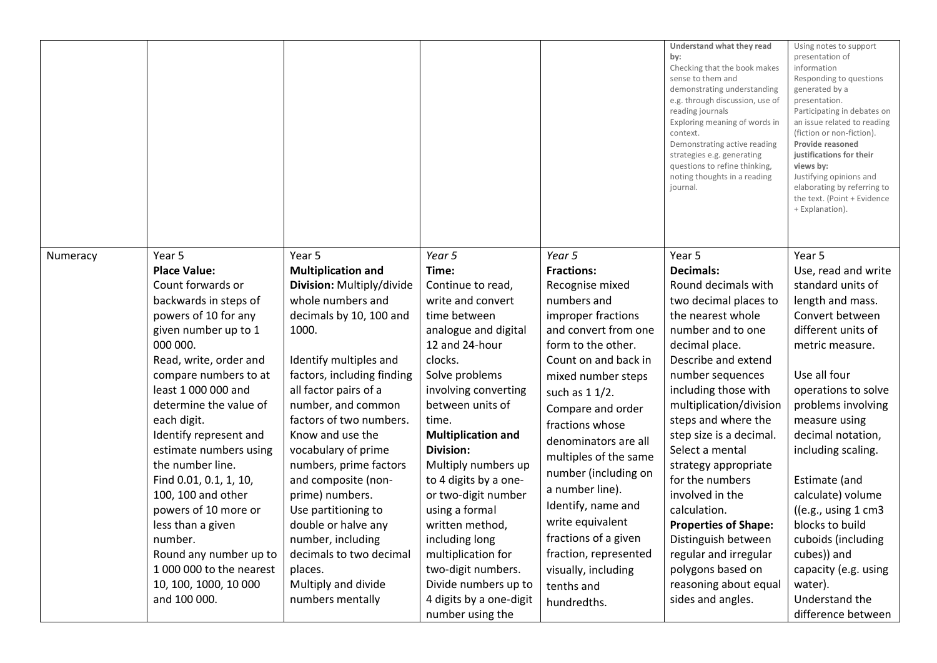|          |                          |                            |                           |                       | Understand what they read<br>by:<br>Checking that the book makes<br>sense to them and<br>demonstrating understanding<br>e.g. through discussion, use of<br>reading journals<br>Exploring meaning of words in<br>context.<br>Demonstrating active reading<br>strategies e.g. generating<br>questions to refine thinking,<br>noting thoughts in a reading<br>journal. | Using notes to support<br>presentation of<br>information<br>Responding to questions<br>generated by a<br>presentation.<br>Participating in debates on<br>an issue related to reading<br>(fiction or non-fiction).<br>Provide reasoned<br>justifications for their<br>views by:<br>Justifying opinions and<br>elaborating by referring to<br>the text. (Point + Evidence<br>+ Explanation). |
|----------|--------------------------|----------------------------|---------------------------|-----------------------|---------------------------------------------------------------------------------------------------------------------------------------------------------------------------------------------------------------------------------------------------------------------------------------------------------------------------------------------------------------------|--------------------------------------------------------------------------------------------------------------------------------------------------------------------------------------------------------------------------------------------------------------------------------------------------------------------------------------------------------------------------------------------|
| Numeracy | Year 5                   | Year 5                     | Year 5                    | Year 5                | Year 5                                                                                                                                                                                                                                                                                                                                                              | Year 5                                                                                                                                                                                                                                                                                                                                                                                     |
|          | <b>Place Value:</b>      | <b>Multiplication and</b>  | Time:                     | <b>Fractions:</b>     | <b>Decimals:</b>                                                                                                                                                                                                                                                                                                                                                    | Use, read and write                                                                                                                                                                                                                                                                                                                                                                        |
|          | Count forwards or        | Division: Multiply/divide  | Continue to read,         | Recognise mixed       | Round decimals with                                                                                                                                                                                                                                                                                                                                                 | standard units of                                                                                                                                                                                                                                                                                                                                                                          |
|          | backwards in steps of    | whole numbers and          | write and convert         | numbers and           | two decimal places to                                                                                                                                                                                                                                                                                                                                               | length and mass.                                                                                                                                                                                                                                                                                                                                                                           |
|          | powers of 10 for any     | decimals by 10, 100 and    | time between              | improper fractions    | the nearest whole                                                                                                                                                                                                                                                                                                                                                   | Convert between                                                                                                                                                                                                                                                                                                                                                                            |
|          | given number up to 1     | 1000.                      | analogue and digital      | and convert from one  | number and to one                                                                                                                                                                                                                                                                                                                                                   | different units of                                                                                                                                                                                                                                                                                                                                                                         |
|          | 000 000.                 |                            | 12 and 24-hour            | form to the other.    | decimal place.                                                                                                                                                                                                                                                                                                                                                      | metric measure.                                                                                                                                                                                                                                                                                                                                                                            |
|          | Read, write, order and   | Identify multiples and     | clocks.                   | Count on and back in  | Describe and extend                                                                                                                                                                                                                                                                                                                                                 |                                                                                                                                                                                                                                                                                                                                                                                            |
|          | compare numbers to at    | factors, including finding | Solve problems            | mixed number steps    | number sequences                                                                                                                                                                                                                                                                                                                                                    | Use all four                                                                                                                                                                                                                                                                                                                                                                               |
|          | least 1 000 000 and      | all factor pairs of a      | involving converting      | such as 1 1/2.        | including those with                                                                                                                                                                                                                                                                                                                                                | operations to solve                                                                                                                                                                                                                                                                                                                                                                        |
|          | determine the value of   | number, and common         | between units of          | Compare and order     | multiplication/division                                                                                                                                                                                                                                                                                                                                             | problems involving                                                                                                                                                                                                                                                                                                                                                                         |
|          | each digit.              | factors of two numbers.    | time.                     | fractions whose       | steps and where the                                                                                                                                                                                                                                                                                                                                                 | measure using                                                                                                                                                                                                                                                                                                                                                                              |
|          | Identify represent and   | Know and use the           | <b>Multiplication and</b> | denominators are all  | step size is a decimal.                                                                                                                                                                                                                                                                                                                                             | decimal notation,                                                                                                                                                                                                                                                                                                                                                                          |
|          | estimate numbers using   | vocabulary of prime        | Division:                 | multiples of the same | Select a mental                                                                                                                                                                                                                                                                                                                                                     | including scaling.                                                                                                                                                                                                                                                                                                                                                                         |
|          | the number line.         | numbers, prime factors     | Multiply numbers up       | number (including on  | strategy appropriate                                                                                                                                                                                                                                                                                                                                                |                                                                                                                                                                                                                                                                                                                                                                                            |
|          | Find 0.01, 0.1, 1, 10,   | and composite (non-        | to 4 digits by a one-     | a number line).       | for the numbers                                                                                                                                                                                                                                                                                                                                                     | Estimate (and                                                                                                                                                                                                                                                                                                                                                                              |
|          | 100, 100 and other       | prime) numbers.            | or two-digit number       | Identify, name and    | involved in the                                                                                                                                                                                                                                                                                                                                                     | calculate) volume                                                                                                                                                                                                                                                                                                                                                                          |
|          | powers of 10 more or     | Use partitioning to        | using a formal            | write equivalent      | calculation.                                                                                                                                                                                                                                                                                                                                                        | ((e.g., using 1 cm3))                                                                                                                                                                                                                                                                                                                                                                      |
|          | less than a given        | double or halve any        | written method,           |                       | <b>Properties of Shape:</b>                                                                                                                                                                                                                                                                                                                                         | blocks to build                                                                                                                                                                                                                                                                                                                                                                            |
|          | number.                  | number, including          | including long            | fractions of a given  | Distinguish between                                                                                                                                                                                                                                                                                                                                                 | cuboids (including                                                                                                                                                                                                                                                                                                                                                                         |
|          | Round any number up to   | decimals to two decimal    | multiplication for        | fraction, represented | regular and irregular                                                                                                                                                                                                                                                                                                                                               | cubes)) and                                                                                                                                                                                                                                                                                                                                                                                |
|          | 1 000 000 to the nearest | places.                    | two-digit numbers.        | visually, including   | polygons based on                                                                                                                                                                                                                                                                                                                                                   | capacity (e.g. using                                                                                                                                                                                                                                                                                                                                                                       |
|          | 10, 100, 1000, 10 000    | Multiply and divide        | Divide numbers up to      | tenths and            | reasoning about equal                                                                                                                                                                                                                                                                                                                                               | water).                                                                                                                                                                                                                                                                                                                                                                                    |
|          | and 100 000.             | numbers mentally           | 4 digits by a one-digit   | hundredths.           | sides and angles.                                                                                                                                                                                                                                                                                                                                                   | Understand the                                                                                                                                                                                                                                                                                                                                                                             |
|          |                          |                            | number using the          |                       |                                                                                                                                                                                                                                                                                                                                                                     | difference between                                                                                                                                                                                                                                                                                                                                                                         |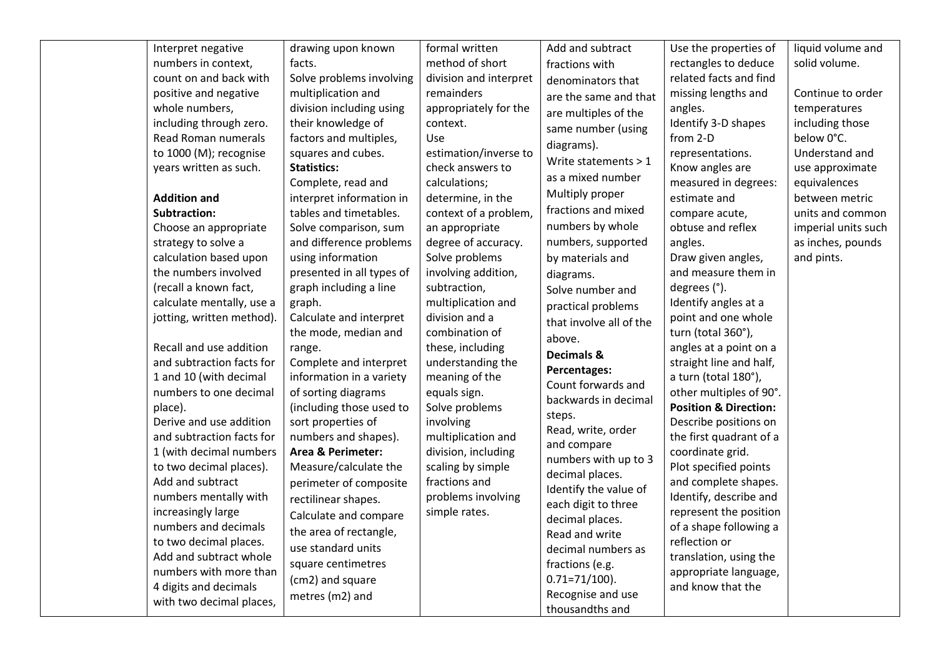| Interpret negative        | drawing upon known           | formal written         | Add and subtract        | Use the properties of            | liquid volume and   |
|---------------------------|------------------------------|------------------------|-------------------------|----------------------------------|---------------------|
| numbers in context,       | facts.                       | method of short        | fractions with          | rectangles to deduce             | solid volume.       |
| count on and back with    | Solve problems involving     | division and interpret | denominators that       | related facts and find           |                     |
| positive and negative     | multiplication and           | remainders             | are the same and that   | missing lengths and              | Continue to order   |
| whole numbers,            | division including using     | appropriately for the  | are multiples of the    | angles.                          | temperatures        |
| including through zero.   | their knowledge of           | context.               | same number (using      | Identify 3-D shapes              | including those     |
| Read Roman numerals       | factors and multiples,       | <b>Use</b>             | diagrams).              | from 2-D                         | below 0°C.          |
| to 1000 (M); recognise    | squares and cubes.           | estimation/inverse to  | Write statements $> 1$  | representations.                 | Understand and      |
| years written as such.    | <b>Statistics:</b>           | check answers to       |                         | Know angles are                  | use approximate     |
|                           | Complete, read and           | calculations;          | as a mixed number       | measured in degrees:             | equivalences        |
| <b>Addition and</b>       | interpret information in     | determine, in the      | Multiply proper         | estimate and                     | between metric      |
| <b>Subtraction:</b>       | tables and timetables.       | context of a problem,  | fractions and mixed     | compare acute,                   | units and common    |
| Choose an appropriate     | Solve comparison, sum        | an appropriate         | numbers by whole        | obtuse and reflex                | imperial units such |
| strategy to solve a       | and difference problems      | degree of accuracy.    | numbers, supported      | angles.                          | as inches, pounds   |
| calculation based upon    | using information            | Solve problems         | by materials and        | Draw given angles,               | and pints.          |
| the numbers involved      | presented in all types of    | involving addition,    | diagrams.               | and measure them in              |                     |
| (recall a known fact,     | graph including a line       | subtraction,           | Solve number and        | degrees (°).                     |                     |
| calculate mentally, use a | graph.                       | multiplication and     | practical problems      | Identify angles at a             |                     |
| jotting, written method). | Calculate and interpret      | division and a         | that involve all of the | point and one whole              |                     |
|                           | the mode, median and         | combination of         | above.                  | turn (total 360°),               |                     |
| Recall and use addition   | range.                       | these, including       | Decimals &              | angles at a point on a           |                     |
| and subtraction facts for | Complete and interpret       | understanding the      | Percentages:            | straight line and half,          |                     |
| 1 and 10 (with decimal    | information in a variety     | meaning of the         | Count forwards and      | a turn (total 180°),             |                     |
| numbers to one decimal    | of sorting diagrams          | equals sign.           | backwards in decimal    | other multiples of 90°.          |                     |
| place).                   | (including those used to     | Solve problems         | steps.                  | <b>Position &amp; Direction:</b> |                     |
| Derive and use addition   | sort properties of           | involving              | Read, write, order      | Describe positions on            |                     |
| and subtraction facts for | numbers and shapes).         | multiplication and     | and compare             | the first quadrant of a          |                     |
| 1 (with decimal numbers   | <b>Area &amp; Perimeter:</b> | division, including    | numbers with up to 3    | coordinate grid.                 |                     |
| to two decimal places).   | Measure/calculate the        | scaling by simple      | decimal places.         | Plot specified points            |                     |
| Add and subtract          | perimeter of composite       | fractions and          | Identify the value of   | and complete shapes.             |                     |
| numbers mentally with     | rectilinear shapes.          | problems involving     | each digit to three     | Identify, describe and           |                     |
| increasingly large        | Calculate and compare        | simple rates.          | decimal places.         | represent the position           |                     |
| numbers and decimals      | the area of rectangle,       |                        | Read and write          | of a shape following a           |                     |
| to two decimal places.    | use standard units           |                        | decimal numbers as      | reflection or                    |                     |
| Add and subtract whole    | square centimetres           |                        | fractions (e.g.         | translation, using the           |                     |
| numbers with more than    | (cm2) and square             |                        | $0.71 = 71/100$ ).      | appropriate language,            |                     |
| 4 digits and decimals     | metres (m2) and              |                        | Recognise and use       | and know that the                |                     |
| with two decimal places,  |                              |                        | thousandths and         |                                  |                     |
|                           |                              |                        |                         |                                  |                     |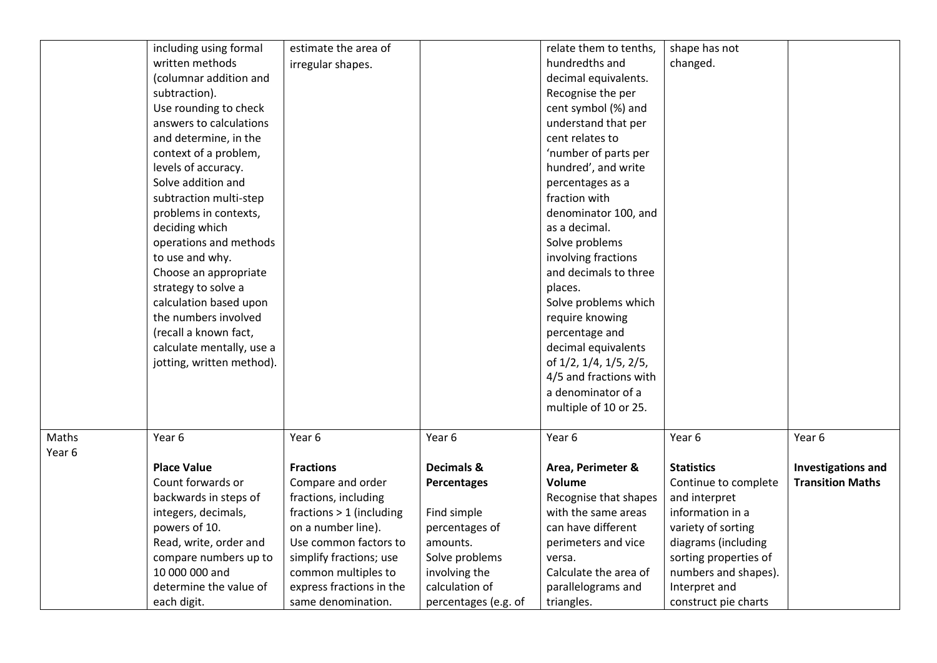|        | including using formal    | estimate the area of     |                      | relate them to tenths, | shape has not         |                           |
|--------|---------------------------|--------------------------|----------------------|------------------------|-----------------------|---------------------------|
|        | written methods           | irregular shapes.        |                      | hundredths and         | changed.              |                           |
|        | (columnar addition and    |                          |                      | decimal equivalents.   |                       |                           |
|        | subtraction).             |                          |                      | Recognise the per      |                       |                           |
|        | Use rounding to check     |                          |                      | cent symbol (%) and    |                       |                           |
|        | answers to calculations   |                          |                      | understand that per    |                       |                           |
|        | and determine, in the     |                          |                      | cent relates to        |                       |                           |
|        | context of a problem,     |                          |                      | 'number of parts per   |                       |                           |
|        | levels of accuracy.       |                          |                      | hundred', and write    |                       |                           |
|        | Solve addition and        |                          |                      | percentages as a       |                       |                           |
|        | subtraction multi-step    |                          |                      | fraction with          |                       |                           |
|        | problems in contexts,     |                          |                      | denominator 100, and   |                       |                           |
|        | deciding which            |                          |                      | as a decimal.          |                       |                           |
|        | operations and methods    |                          |                      | Solve problems         |                       |                           |
|        | to use and why.           |                          |                      | involving fractions    |                       |                           |
|        | Choose an appropriate     |                          |                      | and decimals to three  |                       |                           |
|        | strategy to solve a       |                          |                      | places.                |                       |                           |
|        | calculation based upon    |                          |                      | Solve problems which   |                       |                           |
|        | the numbers involved      |                          |                      | require knowing        |                       |                           |
|        | (recall a known fact,     |                          |                      | percentage and         |                       |                           |
|        | calculate mentally, use a |                          |                      | decimal equivalents    |                       |                           |
|        | jotting, written method). |                          |                      | of 1/2, 1/4, 1/5, 2/5, |                       |                           |
|        |                           |                          |                      | 4/5 and fractions with |                       |                           |
|        |                           |                          |                      | a denominator of a     |                       |                           |
|        |                           |                          |                      | multiple of 10 or 25.  |                       |                           |
|        |                           |                          |                      |                        |                       |                           |
| Maths  | Year 6                    | Year 6                   | Year 6               | Year 6                 | Year 6                | Year 6                    |
| Year 6 |                           |                          |                      |                        |                       |                           |
|        | <b>Place Value</b>        | <b>Fractions</b>         | Decimals &           | Area, Perimeter &      | <b>Statistics</b>     | <b>Investigations and</b> |
|        | Count forwards or         | Compare and order        | Percentages          | <b>Volume</b>          | Continue to complete  | <b>Transition Maths</b>   |
|        | backwards in steps of     | fractions, including     |                      | Recognise that shapes  | and interpret         |                           |
|        | integers, decimals,       | fractions > 1 (including | Find simple          | with the same areas    | information in a      |                           |
|        | powers of 10.             | on a number line).       | percentages of       | can have different     | variety of sorting    |                           |
|        | Read, write, order and    | Use common factors to    | amounts.             | perimeters and vice    | diagrams (including   |                           |
|        | compare numbers up to     | simplify fractions; use  | Solve problems       | versa.                 | sorting properties of |                           |
|        | 10 000 000 and            | common multiples to      | involving the        | Calculate the area of  | numbers and shapes).  |                           |
|        | determine the value of    | express fractions in the | calculation of       | parallelograms and     | Interpret and         |                           |
|        | each digit.               | same denomination.       | percentages (e.g. of | triangles.             | construct pie charts  |                           |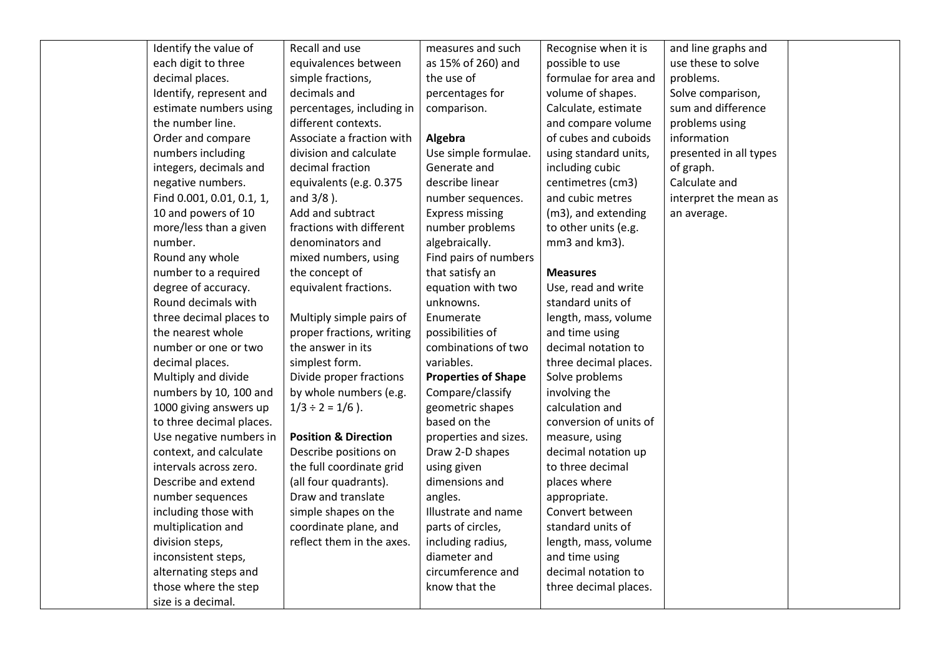| Identify the value of     | Recall and use                  | measures and such          | Recognise when it is   | and line graphs and    |  |
|---------------------------|---------------------------------|----------------------------|------------------------|------------------------|--|
| each digit to three       | equivalences between            | as 15% of 260) and         | possible to use        | use these to solve     |  |
| decimal places.           | simple fractions,               | the use of                 | formulae for area and  | problems.              |  |
| Identify, represent and   | decimals and                    | percentages for            | volume of shapes.      | Solve comparison,      |  |
| estimate numbers using    | percentages, including in       | comparison.                | Calculate, estimate    | sum and difference     |  |
| the number line.          | different contexts.             |                            | and compare volume     | problems using         |  |
| Order and compare         | Associate a fraction with       | Algebra                    | of cubes and cuboids   | information            |  |
| numbers including         | division and calculate          | Use simple formulae.       | using standard units,  | presented in all types |  |
| integers, decimals and    | decimal fraction                | Generate and               | including cubic        | of graph.              |  |
| negative numbers.         | equivalents (e.g. 0.375         | describe linear            | centimetres (cm3)      | Calculate and          |  |
| Find 0.001, 0.01, 0.1, 1, | and $3/8$ ).                    | number sequences.          | and cubic metres       | interpret the mean as  |  |
| 10 and powers of 10       | Add and subtract                | <b>Express missing</b>     | (m3), and extending    | an average.            |  |
| more/less than a given    | fractions with different        | number problems            | to other units (e.g.   |                        |  |
| number.                   | denominators and                | algebraically.             | mm3 and km3).          |                        |  |
| Round any whole           | mixed numbers, using            | Find pairs of numbers      |                        |                        |  |
| number to a required      | the concept of                  | that satisfy an            | <b>Measures</b>        |                        |  |
| degree of accuracy.       | equivalent fractions.           | equation with two          | Use, read and write    |                        |  |
| Round decimals with       |                                 | unknowns.                  | standard units of      |                        |  |
| three decimal places to   | Multiply simple pairs of        | Enumerate                  | length, mass, volume   |                        |  |
| the nearest whole         | proper fractions, writing       | possibilities of           | and time using         |                        |  |
| number or one or two      | the answer in its               | combinations of two        | decimal notation to    |                        |  |
| decimal places.           | simplest form.                  | variables.                 | three decimal places.  |                        |  |
| Multiply and divide       | Divide proper fractions         | <b>Properties of Shape</b> | Solve problems         |                        |  |
| numbers by 10, 100 and    | by whole numbers (e.g.          | Compare/classify           | involving the          |                        |  |
| 1000 giving answers up    | $1/3 \div 2 = 1/6$ ).           | geometric shapes           | calculation and        |                        |  |
| to three decimal places.  |                                 | based on the               | conversion of units of |                        |  |
| Use negative numbers in   | <b>Position &amp; Direction</b> | properties and sizes.      | measure, using         |                        |  |
| context, and calculate    | Describe positions on           | Draw 2-D shapes            | decimal notation up    |                        |  |
| intervals across zero.    | the full coordinate grid        | using given                | to three decimal       |                        |  |
| Describe and extend       | (all four quadrants).           | dimensions and             | places where           |                        |  |
| number sequences          | Draw and translate              | angles.                    | appropriate.           |                        |  |
| including those with      | simple shapes on the            | Illustrate and name        | Convert between        |                        |  |
| multiplication and        | coordinate plane, and           | parts of circles,          | standard units of      |                        |  |
| division steps,           | reflect them in the axes.       | including radius,          | length, mass, volume   |                        |  |
| inconsistent steps,       |                                 | diameter and               | and time using         |                        |  |
| alternating steps and     |                                 | circumference and          | decimal notation to    |                        |  |
| those where the step      |                                 | know that the              | three decimal places.  |                        |  |
| size is a decimal.        |                                 |                            |                        |                        |  |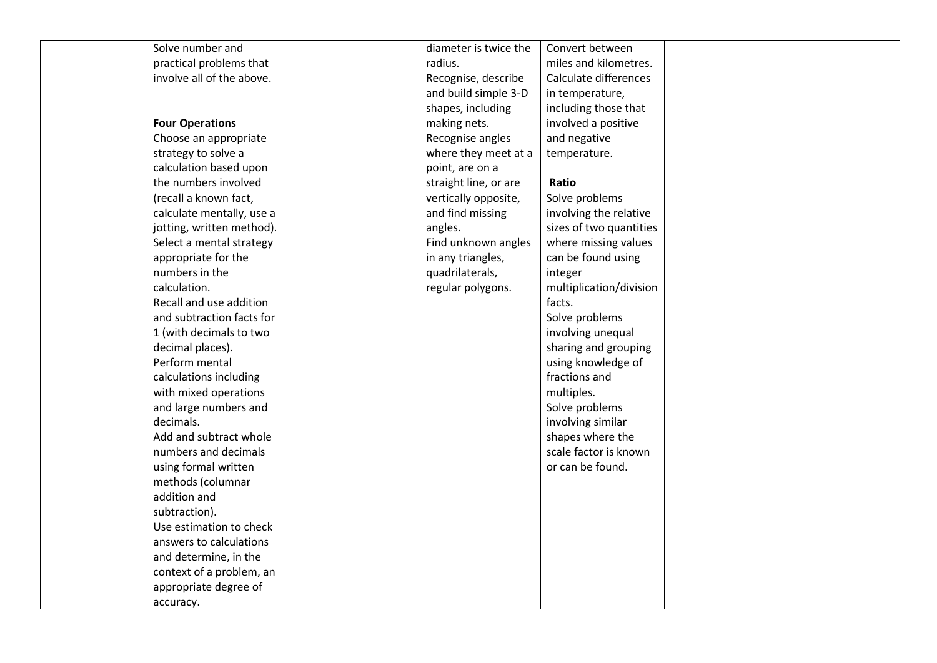| Solve number and          | diameter is twice the | Convert between         |  |
|---------------------------|-----------------------|-------------------------|--|
| practical problems that   | radius.               | miles and kilometres.   |  |
| involve all of the above. | Recognise, describe   | Calculate differences   |  |
|                           | and build simple 3-D  | in temperature,         |  |
|                           | shapes, including     | including those that    |  |
| <b>Four Operations</b>    | making nets.          | involved a positive     |  |
| Choose an appropriate     | Recognise angles      | and negative            |  |
| strategy to solve a       | where they meet at a  | temperature.            |  |
| calculation based upon    | point, are on a       |                         |  |
| the numbers involved      | straight line, or are | Ratio                   |  |
| (recall a known fact,     | vertically opposite,  | Solve problems          |  |
| calculate mentally, use a | and find missing      | involving the relative  |  |
| jotting, written method). | angles.               | sizes of two quantities |  |
| Select a mental strategy  | Find unknown angles   | where missing values    |  |
| appropriate for the       | in any triangles,     | can be found using      |  |
| numbers in the            | quadrilaterals,       | integer                 |  |
| calculation.              | regular polygons.     | multiplication/division |  |
| Recall and use addition   |                       | facts.                  |  |
| and subtraction facts for |                       | Solve problems          |  |
| 1 (with decimals to two   |                       | involving unequal       |  |
| decimal places).          |                       | sharing and grouping    |  |
| Perform mental            |                       | using knowledge of      |  |
| calculations including    |                       | fractions and           |  |
| with mixed operations     |                       | multiples.              |  |
| and large numbers and     |                       | Solve problems          |  |
| decimals.                 |                       | involving similar       |  |
| Add and subtract whole    |                       | shapes where the        |  |
| numbers and decimals      |                       | scale factor is known   |  |
| using formal written      |                       | or can be found.        |  |
| methods (columnar         |                       |                         |  |
| addition and              |                       |                         |  |
| subtraction).             |                       |                         |  |
| Use estimation to check   |                       |                         |  |
| answers to calculations   |                       |                         |  |
| and determine, in the     |                       |                         |  |
| context of a problem, an  |                       |                         |  |
| appropriate degree of     |                       |                         |  |
| accuracy.                 |                       |                         |  |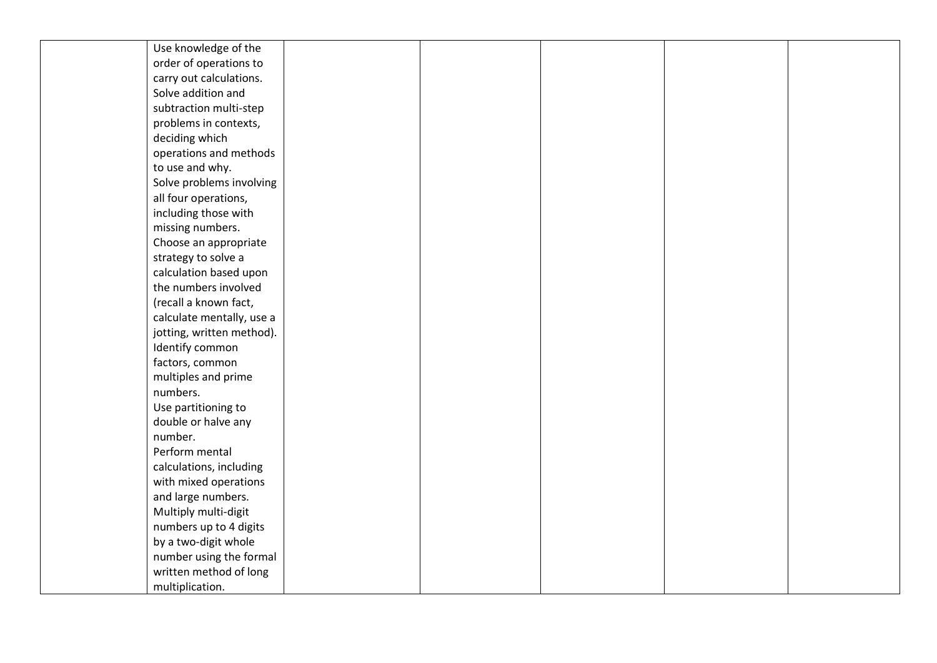| Use knowledge of the      |  |  |  |
|---------------------------|--|--|--|
| order of operations to    |  |  |  |
| carry out calculations.   |  |  |  |
| Solve addition and        |  |  |  |
| subtraction multi-step    |  |  |  |
| problems in contexts,     |  |  |  |
| deciding which            |  |  |  |
| operations and methods    |  |  |  |
| to use and why.           |  |  |  |
| Solve problems involving  |  |  |  |
| all four operations,      |  |  |  |
| including those with      |  |  |  |
| missing numbers.          |  |  |  |
| Choose an appropriate     |  |  |  |
| strategy to solve a       |  |  |  |
| calculation based upon    |  |  |  |
| the numbers involved      |  |  |  |
| (recall a known fact,     |  |  |  |
| calculate mentally, use a |  |  |  |
| jotting, written method). |  |  |  |
| Identify common           |  |  |  |
| factors, common           |  |  |  |
| multiples and prime       |  |  |  |
| numbers.                  |  |  |  |
| Use partitioning to       |  |  |  |
| double or halve any       |  |  |  |
| number.                   |  |  |  |
| Perform mental            |  |  |  |
| calculations, including   |  |  |  |
| with mixed operations     |  |  |  |
| and large numbers.        |  |  |  |
| Multiply multi-digit      |  |  |  |
| numbers up to 4 digits    |  |  |  |
| by a two-digit whole      |  |  |  |
| number using the formal   |  |  |  |
| written method of long    |  |  |  |
| multiplication.           |  |  |  |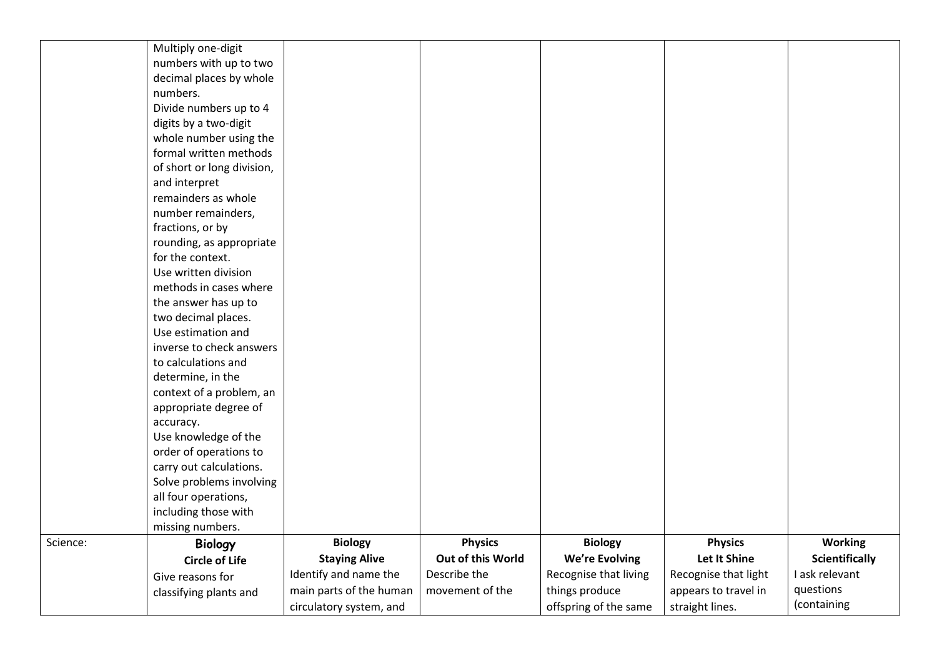|          | Multiply one-digit         |                         |                   |                       |                      |                       |
|----------|----------------------------|-------------------------|-------------------|-----------------------|----------------------|-----------------------|
|          | numbers with up to two     |                         |                   |                       |                      |                       |
|          | decimal places by whole    |                         |                   |                       |                      |                       |
|          | numbers.                   |                         |                   |                       |                      |                       |
|          | Divide numbers up to 4     |                         |                   |                       |                      |                       |
|          | digits by a two-digit      |                         |                   |                       |                      |                       |
|          | whole number using the     |                         |                   |                       |                      |                       |
|          | formal written methods     |                         |                   |                       |                      |                       |
|          | of short or long division, |                         |                   |                       |                      |                       |
|          | and interpret              |                         |                   |                       |                      |                       |
|          | remainders as whole        |                         |                   |                       |                      |                       |
|          | number remainders,         |                         |                   |                       |                      |                       |
|          | fractions, or by           |                         |                   |                       |                      |                       |
|          | rounding, as appropriate   |                         |                   |                       |                      |                       |
|          | for the context.           |                         |                   |                       |                      |                       |
|          | Use written division       |                         |                   |                       |                      |                       |
|          | methods in cases where     |                         |                   |                       |                      |                       |
|          | the answer has up to       |                         |                   |                       |                      |                       |
|          | two decimal places.        |                         |                   |                       |                      |                       |
|          | Use estimation and         |                         |                   |                       |                      |                       |
|          | inverse to check answers   |                         |                   |                       |                      |                       |
|          | to calculations and        |                         |                   |                       |                      |                       |
|          | determine, in the          |                         |                   |                       |                      |                       |
|          | context of a problem, an   |                         |                   |                       |                      |                       |
|          | appropriate degree of      |                         |                   |                       |                      |                       |
|          | accuracy.                  |                         |                   |                       |                      |                       |
|          | Use knowledge of the       |                         |                   |                       |                      |                       |
|          | order of operations to     |                         |                   |                       |                      |                       |
|          | carry out calculations.    |                         |                   |                       |                      |                       |
|          | Solve problems involving   |                         |                   |                       |                      |                       |
|          | all four operations,       |                         |                   |                       |                      |                       |
|          | including those with       |                         |                   |                       |                      |                       |
|          | missing numbers.           |                         |                   |                       |                      |                       |
| Science: | <b>Biology</b>             | <b>Biology</b>          | <b>Physics</b>    | <b>Biology</b>        | <b>Physics</b>       | <b>Working</b>        |
|          | <b>Circle of Life</b>      | <b>Staying Alive</b>    | Out of this World | <b>We're Evolving</b> | Let It Shine         | <b>Scientifically</b> |
|          | Give reasons for           | Identify and name the   | Describe the      | Recognise that living | Recognise that light | I ask relevant        |
|          | classifying plants and     | main parts of the human | movement of the   | things produce        | appears to travel in | questions             |
|          |                            | circulatory system, and |                   | offspring of the same | straight lines.      | (containing           |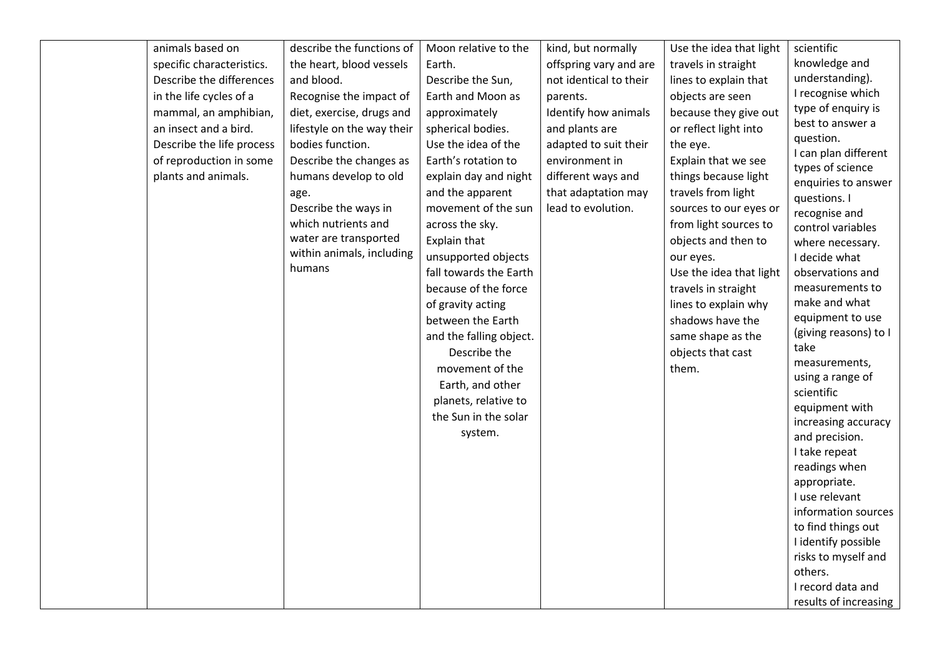| animals based on          | describe the functions of  | Moon relative to the    | kind, but normally     | Use the idea that light | scientific                              |
|---------------------------|----------------------------|-------------------------|------------------------|-------------------------|-----------------------------------------|
| specific characteristics. | the heart, blood vessels   | Earth.                  | offspring vary and are | travels in straight     | knowledge and                           |
| Describe the differences  | and blood.                 | Describe the Sun,       | not identical to their | lines to explain that   | understanding).                         |
| in the life cycles of a   | Recognise the impact of    | Earth and Moon as       | parents.               | objects are seen        | I recognise which                       |
| mammal, an amphibian,     | diet, exercise, drugs and  | approximately           | Identify how animals   | because they give out   | type of enquiry is                      |
| an insect and a bird.     | lifestyle on the way their | spherical bodies.       | and plants are         | or reflect light into   | best to answer a                        |
| Describe the life process | bodies function.           | Use the idea of the     | adapted to suit their  | the eye.                | question.                               |
| of reproduction in some   | Describe the changes as    | Earth's rotation to     | environment in         | Explain that we see     | I can plan different                    |
| plants and animals.       | humans develop to old      | explain day and night   | different ways and     | things because light    | types of science<br>enquiries to answer |
|                           | age.                       | and the apparent        | that adaptation may    | travels from light      | questions. I                            |
|                           | Describe the ways in       | movement of the sun     | lead to evolution.     | sources to our eyes or  | recognise and                           |
|                           | which nutrients and        | across the sky.         |                        | from light sources to   | control variables                       |
|                           | water are transported      | Explain that            |                        | objects and then to     | where necessary.                        |
|                           | within animals, including  | unsupported objects     |                        | our eyes.               | I decide what                           |
|                           | humans                     | fall towards the Earth  |                        | Use the idea that light | observations and                        |
|                           |                            | because of the force    |                        | travels in straight     | measurements to                         |
|                           |                            | of gravity acting       |                        | lines to explain why    | make and what                           |
|                           |                            | between the Earth       |                        | shadows have the        | equipment to use                        |
|                           |                            | and the falling object. |                        | same shape as the       | (giving reasons) to I                   |
|                           |                            | Describe the            |                        | objects that cast       | take                                    |
|                           |                            | movement of the         |                        | them.                   | measurements,                           |
|                           |                            | Earth, and other        |                        |                         | using a range of                        |
|                           |                            | planets, relative to    |                        |                         | scientific                              |
|                           |                            | the Sun in the solar    |                        |                         | equipment with<br>increasing accuracy   |
|                           |                            | system.                 |                        |                         | and precision.                          |
|                           |                            |                         |                        |                         | I take repeat                           |
|                           |                            |                         |                        |                         | readings when                           |
|                           |                            |                         |                        |                         | appropriate.                            |
|                           |                            |                         |                        |                         | I use relevant                          |
|                           |                            |                         |                        |                         | information sources                     |
|                           |                            |                         |                        |                         | to find things out                      |
|                           |                            |                         |                        |                         | I identify possible                     |
|                           |                            |                         |                        |                         | risks to myself and                     |
|                           |                            |                         |                        |                         | others.                                 |
|                           |                            |                         |                        |                         | I record data and                       |
|                           |                            |                         |                        |                         | results of increasing                   |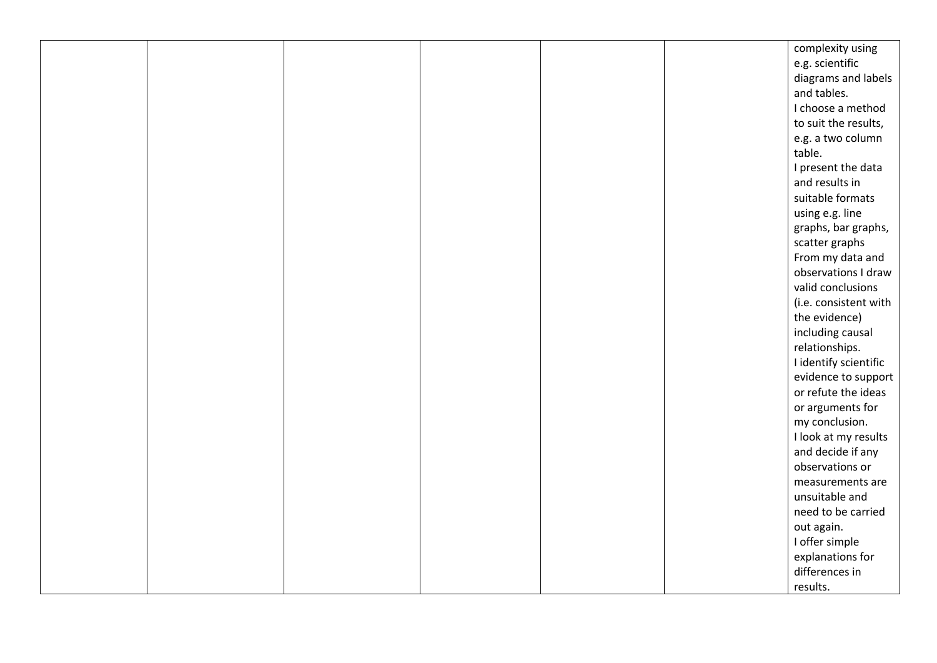|  |  |  | complexity using      |
|--|--|--|-----------------------|
|  |  |  | e.g. scientific       |
|  |  |  | diagrams and labels   |
|  |  |  | and tables.           |
|  |  |  | I choose a method     |
|  |  |  | to suit the results,  |
|  |  |  | e.g. a two column     |
|  |  |  | table.                |
|  |  |  | I present the data    |
|  |  |  | and results in        |
|  |  |  | suitable formats      |
|  |  |  | using e.g. line       |
|  |  |  | graphs, bar graphs,   |
|  |  |  | scatter graphs        |
|  |  |  | From my data and      |
|  |  |  | observations I draw   |
|  |  |  | valid conclusions     |
|  |  |  | (i.e. consistent with |
|  |  |  | the evidence)         |
|  |  |  | including causal      |
|  |  |  | relationships.        |
|  |  |  | I identify scientific |
|  |  |  | evidence to support   |
|  |  |  | or refute the ideas   |
|  |  |  | or arguments for      |
|  |  |  | my conclusion.        |
|  |  |  | I look at my results  |
|  |  |  | and decide if any     |
|  |  |  | observations or       |
|  |  |  | measurements are      |
|  |  |  | unsuitable and        |
|  |  |  | need to be carried    |
|  |  |  | out again.            |
|  |  |  | I offer simple        |
|  |  |  | explanations for      |
|  |  |  | differences in        |
|  |  |  | results.              |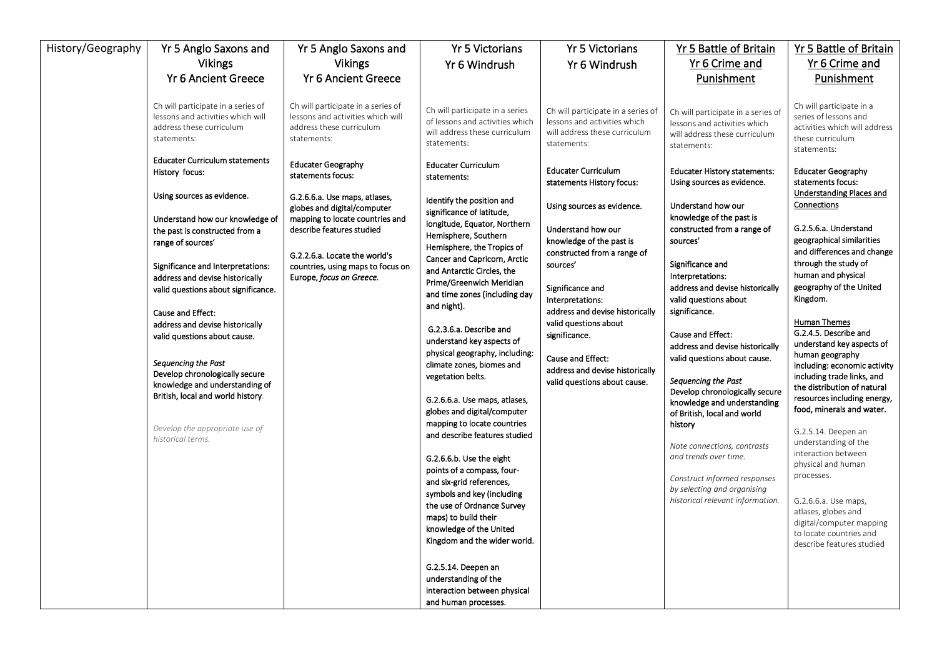| History/Geography | Yr 5 Anglo Saxons and                                                                                              | Yr 5 Anglo Saxons and                                                                                              | <b>Yr 5 Victorians</b>                                                                                             | <b>Yr 5 Victorians</b>                                                                                             | Yr 5 Battle of Britain                                                                                             | Yr 5 Battle of Britain                                                                                                |
|-------------------|--------------------------------------------------------------------------------------------------------------------|--------------------------------------------------------------------------------------------------------------------|--------------------------------------------------------------------------------------------------------------------|--------------------------------------------------------------------------------------------------------------------|--------------------------------------------------------------------------------------------------------------------|-----------------------------------------------------------------------------------------------------------------------|
|                   | <b>Vikings</b>                                                                                                     | <b>Vikings</b>                                                                                                     | Yr 6 Windrush                                                                                                      | Yr 6 Windrush                                                                                                      | Yr 6 Crime and                                                                                                     | Yr 6 Crime and                                                                                                        |
|                   | <b>Yr 6 Ancient Greece</b>                                                                                         | <b>Yr 6 Ancient Greece</b>                                                                                         |                                                                                                                    |                                                                                                                    | Punishment                                                                                                         | Punishment                                                                                                            |
|                   |                                                                                                                    |                                                                                                                    |                                                                                                                    |                                                                                                                    |                                                                                                                    |                                                                                                                       |
|                   | Ch will participate in a series of<br>lessons and activities which will<br>address these curriculum<br>statements: | Ch will participate in a series of<br>lessons and activities which will<br>address these curriculum<br>statements: | Ch will participate in a series<br>of lessons and activities which<br>will address these curriculum<br>statements: | Ch will participate in a series of<br>lessons and activities which<br>will address these curriculum<br>statements: | Ch will participate in a series of<br>lessons and activities which<br>will address these curriculum<br>statements: | Ch will participate in a<br>series of lessons and<br>activities which will address<br>these curriculum<br>statements: |
|                   | <b>Educater Curriculum statements</b><br>History focus:                                                            | <b>Educater Geography</b><br>statements focus:                                                                     | <b>Educater Curriculum</b><br>statements:                                                                          | <b>Educater Curriculum</b><br>statements History focus:                                                            | <b>Educater History statements:</b><br>Using sources as evidence.                                                  | <b>Educater Geography</b><br>statements focus:                                                                        |
|                   | Using sources as evidence.                                                                                         | G.2.6.6.a. Use maps, atlases,<br>globes and digital/computer                                                       | Identify the position and<br>significance of latitude,                                                             | Using sources as evidence.                                                                                         | Understand how our                                                                                                 | <b>Understanding Places and</b><br>Connections                                                                        |
|                   | Understand how our knowledge of                                                                                    | mapping to locate countries and                                                                                    | longitude, Equator, Northern                                                                                       |                                                                                                                    | knowledge of the past is                                                                                           |                                                                                                                       |
|                   | the past is constructed from a                                                                                     | describe features studied                                                                                          | Hemisphere, Southern                                                                                               | Understand how our                                                                                                 | constructed from a range of                                                                                        | G.2.5.6.a. Understand<br>geographical similarities                                                                    |
|                   | range of sources'                                                                                                  |                                                                                                                    | Hemisphere, the Tropics of                                                                                         | knowledge of the past is<br>constructed from a range of                                                            | sources'                                                                                                           | and differences and change                                                                                            |
|                   | Significance and Interpretations:                                                                                  | G.2.2.6.a. Locate the world's<br>countries, using maps to focus on                                                 | Cancer and Capricorn, Arctic                                                                                       | sources'                                                                                                           | Significance and                                                                                                   | through the study of                                                                                                  |
|                   | address and devise historically                                                                                    | Europe, focus on Greece.                                                                                           | and Antarctic Circles, the<br>Prime/Greenwich Meridian                                                             |                                                                                                                    | Interpretations:                                                                                                   | human and physical                                                                                                    |
|                   | valid questions about significance.                                                                                |                                                                                                                    | and time zones (including day                                                                                      | Significance and                                                                                                   | address and devise historically                                                                                    | geography of the United                                                                                               |
|                   |                                                                                                                    |                                                                                                                    | and night).                                                                                                        | Interpretations:                                                                                                   | valid questions about                                                                                              | Kingdom.                                                                                                              |
|                   | Cause and Effect:                                                                                                  |                                                                                                                    |                                                                                                                    | address and devise historically<br>valid questions about                                                           | significance.                                                                                                      | <b>Human Themes</b>                                                                                                   |
|                   | address and devise historically<br>valid questions about cause.                                                    |                                                                                                                    | G.2.3.6.a. Describe and                                                                                            | significance.                                                                                                      | Cause and Effect:                                                                                                  | G.2.4.5. Describe and                                                                                                 |
|                   |                                                                                                                    |                                                                                                                    | understand key aspects of                                                                                          |                                                                                                                    | address and devise historically                                                                                    | understand key aspects of                                                                                             |
|                   | Sequencing the Past                                                                                                |                                                                                                                    | physical geography, including:                                                                                     | Cause and Effect:                                                                                                  | valid questions about cause.                                                                                       | human geography                                                                                                       |
|                   | Develop chronologically secure                                                                                     |                                                                                                                    | climate zones, biomes and<br>vegetation belts.                                                                     | address and devise historically                                                                                    |                                                                                                                    | including: economic activity<br>including trade links, and                                                            |
|                   | knowledge and understanding of                                                                                     |                                                                                                                    |                                                                                                                    | valid questions about cause.                                                                                       | Sequencing the Past                                                                                                | the distribution of natural                                                                                           |
|                   | British, local and world history.                                                                                  |                                                                                                                    | G.2.6.6.a. Use maps, atlases,                                                                                      |                                                                                                                    | Develop chronologically secure<br>knowledge and understanding                                                      | resources including energy,                                                                                           |
|                   |                                                                                                                    |                                                                                                                    | globes and digital/computer                                                                                        |                                                                                                                    | of British, local and world                                                                                        | food, minerals and water.                                                                                             |
|                   | Develop the appropriate use of                                                                                     |                                                                                                                    | mapping to locate countries                                                                                        |                                                                                                                    | history                                                                                                            | G.2.5.14. Deepen an                                                                                                   |
|                   | historical terms.                                                                                                  |                                                                                                                    | and describe features studied                                                                                      |                                                                                                                    |                                                                                                                    | understanding of the                                                                                                  |
|                   |                                                                                                                    |                                                                                                                    | G.2.6.6.b. Use the eight                                                                                           |                                                                                                                    | Note connections, contrasts<br>and trends over time.                                                               | interaction between                                                                                                   |
|                   |                                                                                                                    |                                                                                                                    | points of a compass, four-                                                                                         |                                                                                                                    |                                                                                                                    | physical and human                                                                                                    |
|                   |                                                                                                                    |                                                                                                                    | and six-grid references,                                                                                           |                                                                                                                    | Construct informed responses                                                                                       | processes.                                                                                                            |
|                   |                                                                                                                    |                                                                                                                    | symbols and key (including                                                                                         |                                                                                                                    | by selecting and organising<br>historical relevant information.                                                    |                                                                                                                       |
|                   |                                                                                                                    |                                                                                                                    | the use of Ordnance Survey                                                                                         |                                                                                                                    |                                                                                                                    | G.2.6.6.a. Use maps,<br>atlases, globes and                                                                           |
|                   |                                                                                                                    |                                                                                                                    | maps) to build their<br>knowledge of the United                                                                    |                                                                                                                    |                                                                                                                    | digital/computer mapping                                                                                              |
|                   |                                                                                                                    |                                                                                                                    | Kingdom and the wider world.                                                                                       |                                                                                                                    |                                                                                                                    | to locate countries and                                                                                               |
|                   |                                                                                                                    |                                                                                                                    |                                                                                                                    |                                                                                                                    |                                                                                                                    | describe features studied                                                                                             |
|                   |                                                                                                                    |                                                                                                                    | G.2.5.14. Deepen an                                                                                                |                                                                                                                    |                                                                                                                    |                                                                                                                       |
|                   |                                                                                                                    |                                                                                                                    | understanding of the                                                                                               |                                                                                                                    |                                                                                                                    |                                                                                                                       |
|                   |                                                                                                                    |                                                                                                                    | interaction between physical                                                                                       |                                                                                                                    |                                                                                                                    |                                                                                                                       |
|                   |                                                                                                                    |                                                                                                                    | and human processes.                                                                                               |                                                                                                                    |                                                                                                                    |                                                                                                                       |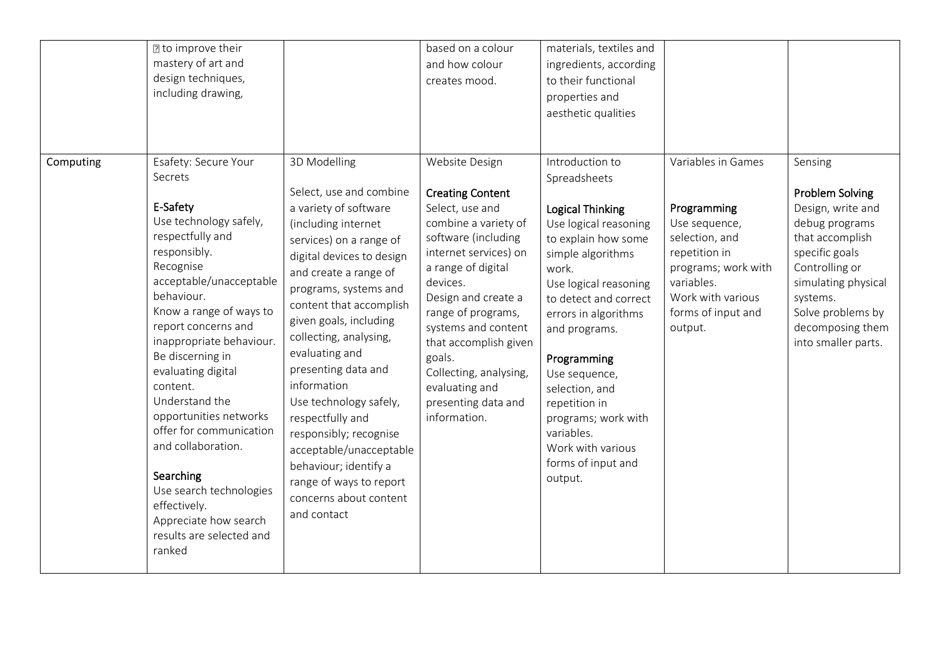| Computing | ? to improve their<br>mastery of art and<br>design techniques,<br>including drawing,<br>Esafety: Secure Your                                                                                                                                                                                                                                                                                                                                                                                    | 3D Modelling                                                                                                                                                                                                                                                                                                                                                                                                                                                                                                             | based on a colour<br>and how colour<br>creates mood.<br>Website Design                                                                                                                                                                                                                                                                         | materials, textiles and<br>ingredients, according<br>to their functional<br>properties and<br>aesthetic qualities<br>Introduction to                                                                                                                                                                                                                                           | Variables in Games                                                                                                                                         | Sensing                                                                                                                                                                                                                 |
|-----------|-------------------------------------------------------------------------------------------------------------------------------------------------------------------------------------------------------------------------------------------------------------------------------------------------------------------------------------------------------------------------------------------------------------------------------------------------------------------------------------------------|--------------------------------------------------------------------------------------------------------------------------------------------------------------------------------------------------------------------------------------------------------------------------------------------------------------------------------------------------------------------------------------------------------------------------------------------------------------------------------------------------------------------------|------------------------------------------------------------------------------------------------------------------------------------------------------------------------------------------------------------------------------------------------------------------------------------------------------------------------------------------------|--------------------------------------------------------------------------------------------------------------------------------------------------------------------------------------------------------------------------------------------------------------------------------------------------------------------------------------------------------------------------------|------------------------------------------------------------------------------------------------------------------------------------------------------------|-------------------------------------------------------------------------------------------------------------------------------------------------------------------------------------------------------------------------|
|           | Secrets<br>E-Safety<br>Use technology safely,<br>respectfully and<br>responsibly.<br>Recognise<br>acceptable/unacceptable<br>behaviour.<br>Know a range of ways to<br>report concerns and<br>inappropriate behaviour.<br>Be discerning in<br>evaluating digital<br>content.<br>Understand the<br>opportunities networks<br>offer for communication<br>and collaboration.<br>Searching<br>Use search technologies<br>effectively.<br>Appreciate how search<br>results are selected and<br>ranked | Select, use and combine<br>a variety of software<br>(including internet<br>services) on a range of<br>digital devices to design<br>and create a range of<br>programs, systems and<br>content that accomplish<br>given goals, including<br>collecting, analysing,<br>evaluating and<br>presenting data and<br>information<br>Use technology safely,<br>respectfully and<br>responsibly; recognise<br>acceptable/unacceptable<br>behaviour; identify a<br>range of ways to report<br>concerns about content<br>and contact | <b>Creating Content</b><br>Select, use and<br>combine a variety of<br>software (including<br>internet services) on<br>a range of digital<br>devices.<br>Design and create a<br>range of programs,<br>systems and content<br>that accomplish given<br>goals.<br>Collecting, analysing,<br>evaluating and<br>presenting data and<br>information. | Spreadsheets<br><b>Logical Thinking</b><br>Use logical reasoning<br>to explain how some<br>simple algorithms<br>work.<br>Use logical reasoning<br>to detect and correct<br>errors in algorithms<br>and programs.<br>Programming<br>Use sequence,<br>selection, and<br>repetition in<br>programs; work with<br>variables.<br>Work with various<br>forms of input and<br>output. | Programming<br>Use sequence,<br>selection, and<br>repetition in<br>programs; work with<br>variables.<br>Work with various<br>forms of input and<br>output. | <b>Problem Solving</b><br>Design, write and<br>debug programs<br>that accomplish<br>specific goals<br>Controlling or<br>simulating physical<br>systems.<br>Solve problems by<br>decomposing them<br>into smaller parts. |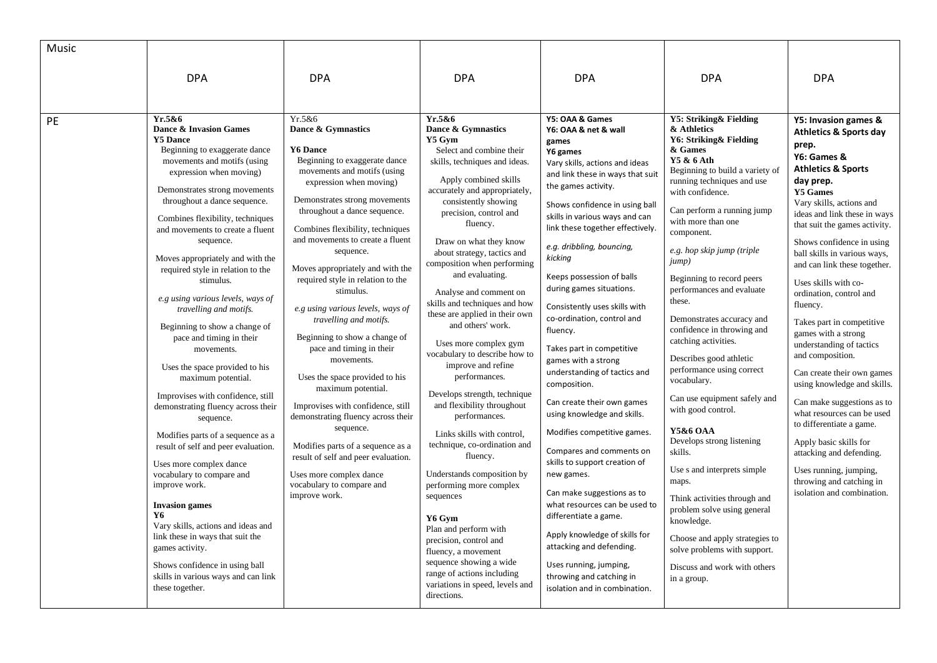| Music |                                                                                                                                                                                                                                                                                                                                                                                                                                                                                                                                                                                                                                                                                                                                                                                                                                                                                                                                                                                                                                                                    |                                                                                                                                                                                                                                                                                                                                                                                                                                                                                                                                                                                                                                                                                                                                                                                                                                       |                                                                                                                                                                                                                                                                                                                                                                                                                                                                                                                                                                                                                                                                                                                                                                                                                                                                                                                                                                                         |                                                                                                                                                                                                                                                                                                                                                                                                                                                                                                                                                                                                                                                                                                                                                                                                                                                                                                                                                                      |                                                                                                                                                                                                                                                                                                                                                                                                                                                                                                                                                                                                                                                                                                                                                                                                                                                                      |                                                                                                                                                                                                                                                                                                                                                                                                                                                                                                                                                                                                                                                                                                                                                                                                                |
|-------|--------------------------------------------------------------------------------------------------------------------------------------------------------------------------------------------------------------------------------------------------------------------------------------------------------------------------------------------------------------------------------------------------------------------------------------------------------------------------------------------------------------------------------------------------------------------------------------------------------------------------------------------------------------------------------------------------------------------------------------------------------------------------------------------------------------------------------------------------------------------------------------------------------------------------------------------------------------------------------------------------------------------------------------------------------------------|---------------------------------------------------------------------------------------------------------------------------------------------------------------------------------------------------------------------------------------------------------------------------------------------------------------------------------------------------------------------------------------------------------------------------------------------------------------------------------------------------------------------------------------------------------------------------------------------------------------------------------------------------------------------------------------------------------------------------------------------------------------------------------------------------------------------------------------|-----------------------------------------------------------------------------------------------------------------------------------------------------------------------------------------------------------------------------------------------------------------------------------------------------------------------------------------------------------------------------------------------------------------------------------------------------------------------------------------------------------------------------------------------------------------------------------------------------------------------------------------------------------------------------------------------------------------------------------------------------------------------------------------------------------------------------------------------------------------------------------------------------------------------------------------------------------------------------------------|----------------------------------------------------------------------------------------------------------------------------------------------------------------------------------------------------------------------------------------------------------------------------------------------------------------------------------------------------------------------------------------------------------------------------------------------------------------------------------------------------------------------------------------------------------------------------------------------------------------------------------------------------------------------------------------------------------------------------------------------------------------------------------------------------------------------------------------------------------------------------------------------------------------------------------------------------------------------|----------------------------------------------------------------------------------------------------------------------------------------------------------------------------------------------------------------------------------------------------------------------------------------------------------------------------------------------------------------------------------------------------------------------------------------------------------------------------------------------------------------------------------------------------------------------------------------------------------------------------------------------------------------------------------------------------------------------------------------------------------------------------------------------------------------------------------------------------------------------|----------------------------------------------------------------------------------------------------------------------------------------------------------------------------------------------------------------------------------------------------------------------------------------------------------------------------------------------------------------------------------------------------------------------------------------------------------------------------------------------------------------------------------------------------------------------------------------------------------------------------------------------------------------------------------------------------------------------------------------------------------------------------------------------------------------|
|       | <b>DPA</b>                                                                                                                                                                                                                                                                                                                                                                                                                                                                                                                                                                                                                                                                                                                                                                                                                                                                                                                                                                                                                                                         | <b>DPA</b>                                                                                                                                                                                                                                                                                                                                                                                                                                                                                                                                                                                                                                                                                                                                                                                                                            | <b>DPA</b>                                                                                                                                                                                                                                                                                                                                                                                                                                                                                                                                                                                                                                                                                                                                                                                                                                                                                                                                                                              | <b>DPA</b>                                                                                                                                                                                                                                                                                                                                                                                                                                                                                                                                                                                                                                                                                                                                                                                                                                                                                                                                                           | <b>DPA</b>                                                                                                                                                                                                                                                                                                                                                                                                                                                                                                                                                                                                                                                                                                                                                                                                                                                           | <b>DPA</b>                                                                                                                                                                                                                                                                                                                                                                                                                                                                                                                                                                                                                                                                                                                                                                                                     |
| PE    | Yr.5&6<br>Dance & Invasion Games<br><b>Y5 Dance</b><br>Beginning to exaggerate dance<br>movements and motifs (using<br>expression when moving)<br>Demonstrates strong movements<br>throughout a dance sequence.<br>Combines flexibility, techniques<br>and movements to create a fluent<br>sequence.<br>Moves appropriately and with the<br>required style in relation to the<br>stimulus.<br>e.g using various levels, ways of<br>travelling and motifs.<br>Beginning to show a change of<br>pace and timing in their<br>movements.<br>Uses the space provided to his<br>maximum potential.<br>Improvises with confidence, still<br>demonstrating fluency across their<br>sequence.<br>Modifies parts of a sequence as a<br>result of self and peer evaluation.<br>Uses more complex dance<br>vocabulary to compare and<br>improve work.<br><b>Invasion</b> games<br>Y6.<br>Vary skills, actions and ideas and<br>link these in ways that suit the<br>games activity.<br>Shows confidence in using ball<br>skills in various ways and can link<br>these together. | Yr.5&6<br>Dance & Gymnastics<br><b>Y6 Dance</b><br>Beginning to exaggerate dance<br>movements and motifs (using<br>expression when moving)<br>Demonstrates strong movements<br>throughout a dance sequence.<br>Combines flexibility, techniques<br>and movements to create a fluent<br>sequence.<br>Moves appropriately and with the<br>required style in relation to the<br>stimulus.<br>e.g using various levels, ways of<br>travelling and motifs.<br>Beginning to show a change of<br>pace and timing in their<br>movements.<br>Uses the space provided to his<br>maximum potential.<br>Improvises with confidence, still<br>demonstrating fluency across their<br>sequence.<br>Modifies parts of a sequence as a<br>result of self and peer evaluation.<br>Uses more complex dance<br>vocabulary to compare and<br>improve work. | Yr.5&6<br>Dance & Gymnastics<br>Y5 Gym<br>Select and combine their<br>skills, techniques and ideas.<br>Apply combined skills<br>accurately and appropriately,<br>consistently showing<br>precision, control and<br>fluency.<br>Draw on what they know<br>about strategy, tactics and<br>composition when performing<br>and evaluating.<br>Analyse and comment on<br>skills and techniques and how<br>these are applied in their own<br>and others' work.<br>Uses more complex gym<br>vocabulary to describe how to<br>improve and refine<br>performances.<br>Develops strength, technique<br>and flexibility throughout<br>performances.<br>Links skills with control,<br>technique, co-ordination and<br>fluency.<br>Understands composition by<br>performing more complex<br>sequences<br>Y6 Gym<br>Plan and perform with<br>precision, control and<br>fluency, a movement<br>sequence showing a wide<br>range of actions including<br>variations in speed, levels and<br>directions. | Y5: OAA & Games<br>Y6: OAA & net & wall<br>games<br>Y6 games<br>Vary skills, actions and ideas<br>and link these in ways that suit<br>the games activity.<br>Shows confidence in using ball<br>skills in various ways and can<br>link these together effectively.<br>e.g. dribbling, bouncing,<br>kicking<br>Keeps possession of balls<br>during games situations.<br>Consistently uses skills with<br>co-ordination, control and<br>fluency.<br>Takes part in competitive<br>games with a strong<br>understanding of tactics and<br>composition.<br>Can create their own games<br>using knowledge and skills.<br>Modifies competitive games.<br>Compares and comments on<br>skills to support creation of<br>new games.<br>Can make suggestions as to<br>what resources can be used to<br>differentiate a game.<br>Apply knowledge of skills for<br>attacking and defending.<br>Uses running, jumping,<br>throwing and catching in<br>isolation and in combination. | Y5: Striking& Fielding<br>& Athletics<br>Y6: Striking& Fielding<br>& Games<br>Y5 & 6 Ath<br>Beginning to build a variety of<br>running techniques and use<br>with confidence.<br>Can perform a running jump<br>with more than one<br>component.<br>e.g. hop skip jump (triple<br>jump)<br>Beginning to record peers<br>performances and evaluate<br>these.<br>Demonstrates accuracy and<br>confidence in throwing and<br>catching activities.<br>Describes good athletic<br>performance using correct<br>vocabulary.<br>Can use equipment safely and<br>with good control.<br>Y5&6 OAA<br>Develops strong listening<br>skills.<br>Use s and interprets simple<br>maps.<br>Think activities through and<br>problem solve using general<br>knowledge.<br>Choose and apply strategies to<br>solve problems with support.<br>Discuss and work with others<br>in a group. | Y5: Invasion games &<br><b>Athletics &amp; Sports day</b><br>prep.<br>Y6: Games &<br><b>Athletics &amp; Sports</b><br>day prep.<br><b>Y5 Games</b><br>Vary skills, actions and<br>ideas and link these in ways<br>that suit the games activity.<br>Shows confidence in using<br>ball skills in various ways,<br>and can link these together.<br>Uses skills with co-<br>ordination, control and<br>fluency.<br>Takes part in competitive<br>games with a strong<br>understanding of tactics<br>and composition.<br>Can create their own games<br>using knowledge and skills.<br>Can make suggestions as to<br>what resources can be used<br>to differentiate a game.<br>Apply basic skills for<br>attacking and defending.<br>Uses running, jumping,<br>throwing and catching in<br>isolation and combination. |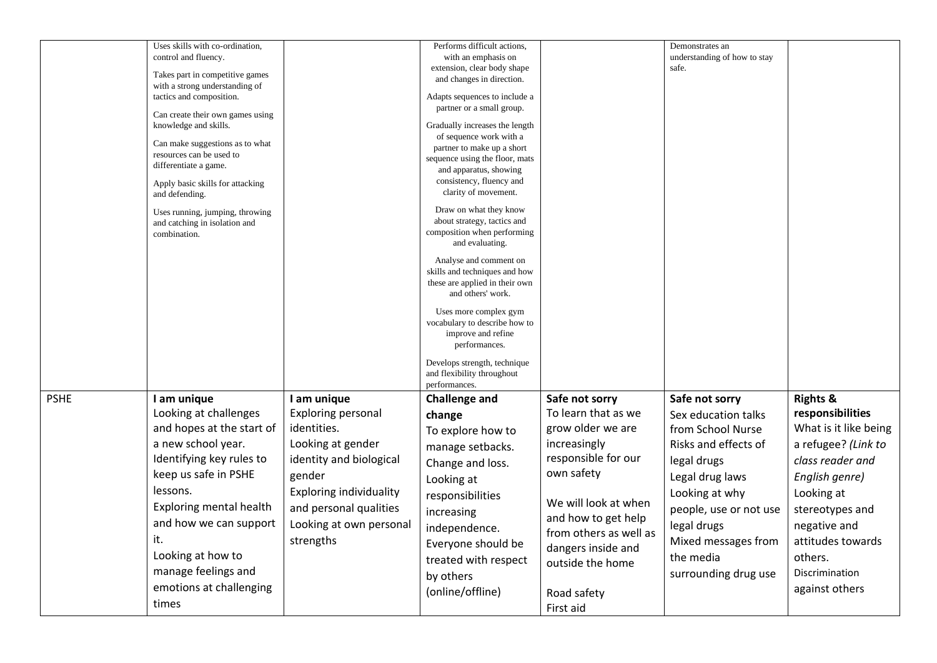|             | Uses skills with co-ordination,  |                                | Performs difficult actions,                               |                        | Demonstrates an                       |                       |
|-------------|----------------------------------|--------------------------------|-----------------------------------------------------------|------------------------|---------------------------------------|-----------------------|
|             | control and fluency.             |                                | with an emphasis on                                       |                        |                                       |                       |
|             |                                  |                                |                                                           |                        | understanding of how to stay<br>safe. |                       |
|             | Takes part in competitive games  |                                | extension, clear body shape<br>and changes in direction.  |                        |                                       |                       |
|             | with a strong understanding of   |                                |                                                           |                        |                                       |                       |
|             | tactics and composition.         |                                | Adapts sequences to include a                             |                        |                                       |                       |
|             |                                  |                                | partner or a small group.                                 |                        |                                       |                       |
|             | Can create their own games using |                                |                                                           |                        |                                       |                       |
|             | knowledge and skills.            |                                | Gradually increases the length<br>of sequence work with a |                        |                                       |                       |
|             | Can make suggestions as to what  |                                | partner to make up a short                                |                        |                                       |                       |
|             | resources can be used to         |                                | sequence using the floor, mats                            |                        |                                       |                       |
|             | differentiate a game.            |                                | and apparatus, showing                                    |                        |                                       |                       |
|             | Apply basic skills for attacking |                                | consistency, fluency and                                  |                        |                                       |                       |
|             | and defending.                   |                                | clarity of movement.                                      |                        |                                       |                       |
|             | Uses running, jumping, throwing  |                                | Draw on what they know                                    |                        |                                       |                       |
|             | and catching in isolation and    |                                | about strategy, tactics and                               |                        |                                       |                       |
|             | combination.                     |                                | composition when performing                               |                        |                                       |                       |
|             |                                  |                                | and evaluating.                                           |                        |                                       |                       |
|             |                                  |                                | Analyse and comment on                                    |                        |                                       |                       |
|             |                                  |                                | skills and techniques and how                             |                        |                                       |                       |
|             |                                  |                                | these are applied in their own                            |                        |                                       |                       |
|             |                                  |                                | and others' work.                                         |                        |                                       |                       |
|             |                                  |                                | Uses more complex gym                                     |                        |                                       |                       |
|             |                                  |                                | vocabulary to describe how to                             |                        |                                       |                       |
|             |                                  |                                | improve and refine                                        |                        |                                       |                       |
|             |                                  |                                | performances.                                             |                        |                                       |                       |
|             |                                  |                                | Develops strength, technique                              |                        |                                       |                       |
|             |                                  |                                | and flexibility throughout                                |                        |                                       |                       |
|             |                                  |                                | performances.                                             |                        |                                       |                       |
| <b>PSHE</b> | I am unique                      | I am unique                    | <b>Challenge and</b>                                      | Safe not sorry         | Safe not sorry                        | <b>Rights &amp;</b>   |
|             | Looking at challenges            | <b>Exploring personal</b>      | change                                                    | To learn that as we    | Sex education talks                   | responsibilities      |
|             | and hopes at the start of        | identities.                    | To explore how to                                         | grow older we are      | from School Nurse                     | What is it like being |
|             |                                  |                                |                                                           |                        |                                       |                       |
|             | a new school year.               | Looking at gender              | manage setbacks.                                          | increasingly           | Risks and effects of                  | a refugee? (Link to   |
|             | Identifying key rules to         | identity and biological        | Change and loss.                                          | responsible for our    | legal drugs                           | class reader and      |
|             | keep us safe in PSHE             | gender                         |                                                           | own safety             | Legal drug laws                       | English genre)        |
|             |                                  |                                | Looking at                                                |                        |                                       |                       |
|             | lessons.                         | <b>Exploring individuality</b> | responsibilities                                          |                        | Looking at why                        | Looking at            |
|             | <b>Exploring mental health</b>   | and personal qualities         | increasing                                                | We will look at when   | people, use or not use                | stereotypes and       |
|             | and how we can support           | Looking at own personal        |                                                           | and how to get help    | legal drugs                           | negative and          |
|             |                                  |                                | independence.                                             | from others as well as |                                       |                       |
|             | it.                              | strengths                      | Everyone should be                                        | dangers inside and     | Mixed messages from                   | attitudes towards     |
|             | Looking at how to                |                                | treated with respect                                      | outside the home       | the media                             | others.               |
|             | manage feelings and              |                                | by others                                                 |                        | surrounding drug use                  | Discrimination        |
|             | emotions at challenging          |                                |                                                           |                        |                                       | against others        |
|             |                                  |                                | (online/offline)                                          | Road safety            |                                       |                       |
|             | times                            |                                |                                                           | First aid              |                                       |                       |